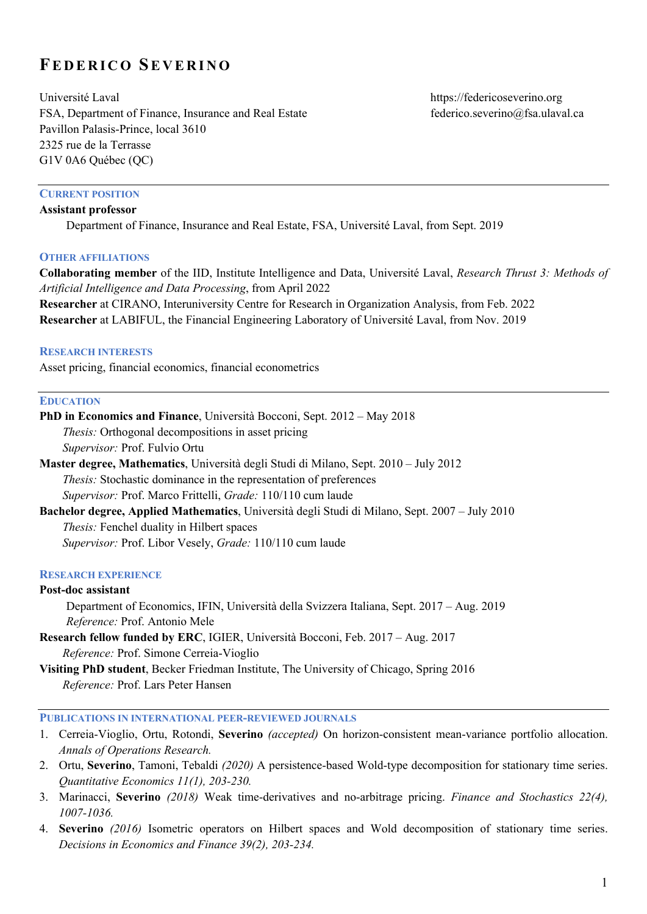# **FEDERICO SEVERINO**

Université Laval https://federicoseverino.org FSA, Department of Finance, Insurance and Real Estate federico.severino@fsa.ulaval.ca Pavillon Palasis-Prince, local 3610 2325 rue de la Terrasse G1V 0A6 Québec (QC)

#### **CURRENT POSITION Assistant professor**

Department of Finance, Insurance and Real Estate, FSA, Université Laval, from Sept. 2019

#### **OTHER AFFILIATIONS**

**Collaborating member** of the IID, Institute Intelligence and Data, Université Laval, *Research Thrust 3: Methods of Artificial Intelligence and Data Processing*, from April 2022

**Researcher** at CIRANO, Interuniversity Centre for Research in Organization Analysis, from Feb. 2022 **Researcher** at LABIFUL, the Financial Engineering Laboratory of Université Laval, from Nov. 2019

#### **RESEARCH INTERESTS**

Asset pricing, financial economics, financial econometrics

#### **EDUCATION**

**PhD in Economics and Finance**, Università Bocconi, Sept. 2012 – May 2018 *Thesis:* Orthogonal decompositions in asset pricing *Supervisor:* Prof. Fulvio Ortu **Master degree, Mathematics**, Università degli Studi di Milano, Sept. 2010 – July 2012 *Thesis:* Stochastic dominance in the representation of preferences *Supervisor:* Prof. Marco Frittelli, *Grade:* 110/110 cum laude **Bachelor degree, Applied Mathematics**, Università degli Studi di Milano, Sept. 2007 – July 2010 *Thesis:* Fenchel duality in Hilbert spaces *Supervisor:* Prof. Libor Vesely, *Grade:* 110/110 cum laude **RESEARCH EXPERIENCE**

#### **Post-doc assistant**

 Department of Economics, IFIN, Università della Svizzera Italiana, Sept. 2017 – Aug. 2019  *Reference:* Prof. Antonio Mele

**Research fellow funded by ERC**, IGIER, Università Bocconi, Feb. 2017 – Aug. 2017 *Reference:* Prof. Simone Cerreia-Vioglio

**Visiting PhD student**, Becker Friedman Institute, The University of Chicago, Spring 2016 *Reference:* Prof. Lars Peter Hansen

## **PUBLICATIONS IN INTERNATIONAL PEER-REVIEWED JOURNALS**

- 1. Cerreia-Vioglio, Ortu, Rotondi, **Severino** *(accepted)* On horizon-consistent mean-variance portfolio allocation. *Annals of Operations Research.*
- 2. Ortu, **Severino**, Tamoni, Tebaldi *(2020)* A persistence-based Wold-type decomposition for stationary time series. *Quantitative Economics 11(1), 203-230.*
- 3. Marinacci, **Severino** *(2018)* Weak time-derivatives and no-arbitrage pricing. *Finance and Stochastics 22(4), 1007-1036.*
- 4. **Severino** *(2016)* Isometric operators on Hilbert spaces and Wold decomposition of stationary time series. *Decisions in Economics and Finance 39(2), 203-234.*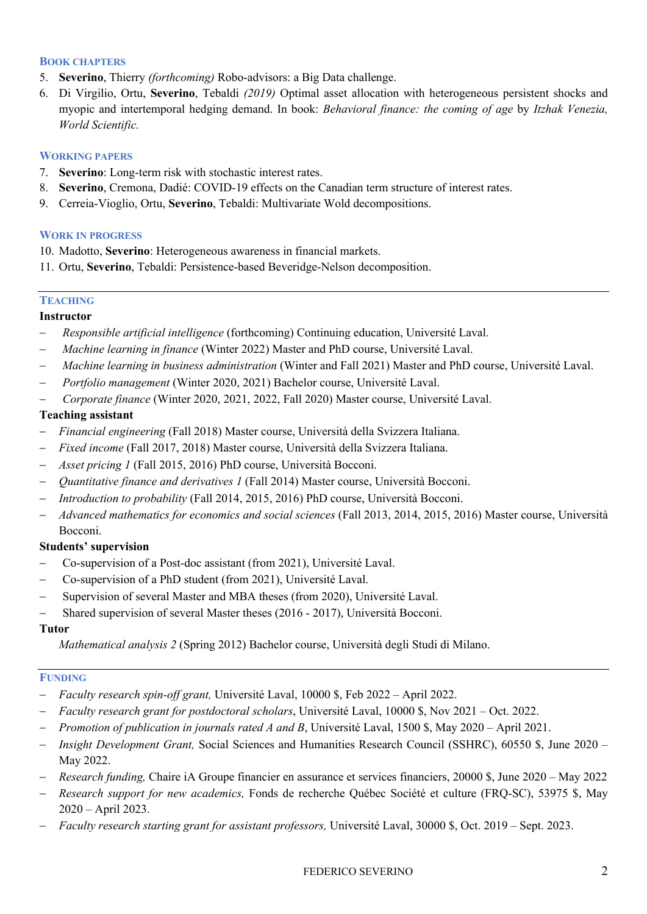## **BOOK CHAPTERS**

- 5. **Severino**, Thierry *(forthcoming)* Robo-advisors: a Big Data challenge.
- 6. Di Virgilio, Ortu, **Severino**, Tebaldi *(2019)* Optimal asset allocation with heterogeneous persistent shocks and myopic and intertemporal hedging demand. In book: *Behavioral finance: the coming of age* by *Itzhak Venezia, World Scientific.*

# **WORKING PAPERS**

- 7. **Severino**: Long-term risk with stochastic interest rates.
- 8. **Severino**, Cremona, Dadié: COVID-19 effects on the Canadian term structure of interest rates.
- 9. Cerreia-Vioglio, Ortu, **Severino**, Tebaldi: Multivariate Wold decompositions.

## **WORK IN PROGRESS**

- 10. Madotto, **Severino**: Heterogeneous awareness in financial markets.
- 11. Ortu, **Severino**, Tebaldi: Persistence-based Beveridge-Nelson decomposition.

# **TEACHING**

# **Instructor**

- *Responsible artificial intelligence* (forthcoming) Continuing education, Université Laval.
- *Machine learning in finance* (Winter 2022) Master and PhD course, Université Laval.
- *Machine learning in business administration* (Winter and Fall 2021) Master and PhD course, Université Laval.
- *Portfolio management* (Winter 2020, 2021) Bachelor course, Université Laval.
- *Corporate finance* (Winter 2020, 2021, 2022, Fall 2020) Master course, Université Laval.

# **Teaching assistant**

- *Financial engineering* (Fall 2018) Master course, Università della Svizzera Italiana.
- *Fixed income* (Fall 2017, 2018) Master course, Università della Svizzera Italiana.
- *Asset pricing 1* (Fall 2015, 2016) PhD course, Università Bocconi.
- *Quantitative finance and derivatives 1* (Fall 2014) Master course, Università Bocconi.
- *Introduction to probability* (Fall 2014, 2015, 2016) PhD course, Università Bocconi.
- *Advanced mathematics for economics and social sciences* (Fall 2013, 2014, 2015, 2016) Master course, Università Bocconi.

# **Students' supervision**

- Co-supervision of a Post-doc assistant (from 2021), Université Laval.
- Co-supervision of a PhD student (from 2021), Université Laval.
- Supervision of several Master and MBA theses (from 2020), Université Laval.
- Shared supervision of several Master theses (2016 2017), Università Bocconi.

## **Tutor**

*Mathematical analysis 2* (Spring 2012) Bachelor course, Università degli Studi di Milano.

# **FUNDING**

- *Faculty research spin-off grant,* Université Laval, 10000 \$, Feb 2022 April 2022.
- *Faculty research grant for postdoctoral scholars*, Université Laval, 10000 \$, Nov 2021 Oct. 2022.
- *Promotion of publication in journals rated A and B*, Université Laval, 1500 \$, May 2020 April 2021.
- *Insight Development Grant,* Social Sciences and Humanities Research Council (SSHRC), 60550 \$, June 2020 May 2022.
- *Research funding,* Chaire iA Groupe financier en assurance et services financiers, 20000 \$, June 2020 May 2022
- *Research support for new academics,* Fonds de recherche Québec Société et culture (FRQ-SC), 53975 \$, May 2020 – April 2023.
- *Faculty research starting grant for assistant professors,* Université Laval, 30000 \$, Oct. 2019 Sept. 2023.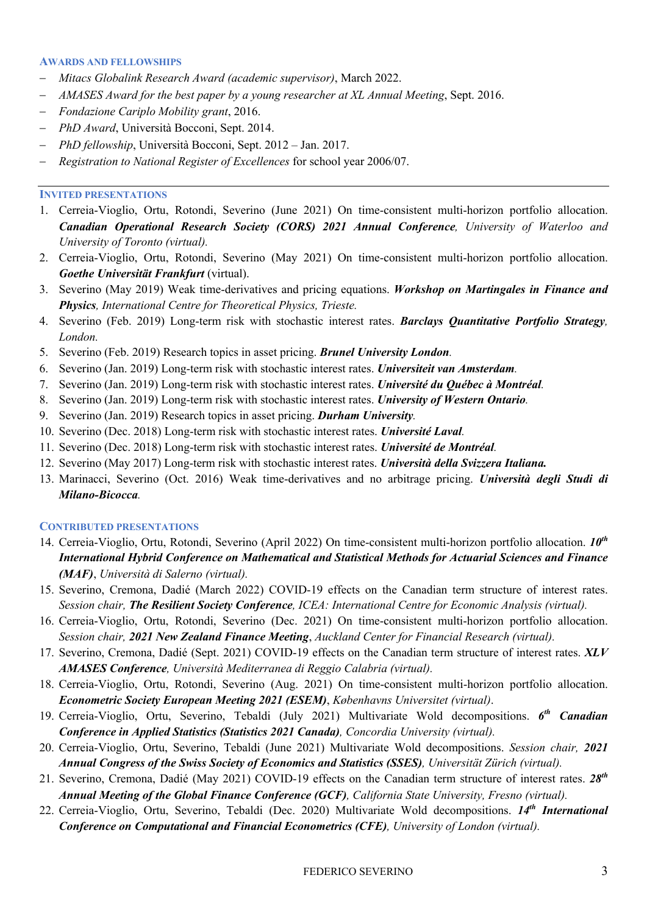#### **AWARDS AND FELLOWSHIPS**

- *Mitacs Globalink Research Award (academic supervisor)*, March 2022.
- *AMASES Award for the best paper by a young researcher at XL Annual Meeting*, Sept. 2016.
- *Fondazione Cariplo Mobility grant*, 2016.
- *PhD Award*, Università Bocconi, Sept. 2014.
- *PhD fellowship*, Università Bocconi, Sept. 2012 Jan. 2017.
- *Registration to National Register of Excellences* for school year 2006/07.

#### **INVITED PRESENTATIONS**

- 1. Cerreia-Vioglio, Ortu, Rotondi, Severino (June 2021) On time-consistent multi-horizon portfolio allocation. *Canadian Operational Research Society (CORS) 2021 Annual Conference, University of Waterloo and University of Toronto (virtual).*
- 2. Cerreia-Vioglio, Ortu, Rotondi, Severino (May 2021) On time-consistent multi-horizon portfolio allocation. *Goethe Universität Frankfurt* (virtual).
- 3. Severino (May 2019) Weak time-derivatives and pricing equations. *Workshop on Martingales in Finance and Physics, International Centre for Theoretical Physics, Trieste.*
- 4. Severino (Feb. 2019) Long-term risk with stochastic interest rates. *Barclays Quantitative Portfolio Strategy, London.*
- 5. Severino (Feb. 2019) Research topics in asset pricing. *Brunel University London.*
- 6. Severino (Jan. 2019) Long-term risk with stochastic interest rates. *Universiteit van Amsterdam.*
- 7. Severino (Jan. 2019) Long-term risk with stochastic interest rates. *Université du Québec à Montréal.*
- 8. Severino (Jan. 2019) Long-term risk with stochastic interest rates. *University of Western Ontario.*
- 9. Severino (Jan. 2019) Research topics in asset pricing. *Durham University.*
- 10. Severino (Dec. 2018) Long-term risk with stochastic interest rates. *Université Laval.*
- 11. Severino (Dec. 2018) Long-term risk with stochastic interest rates. *Université de Montréal.*
- 12. Severino (May 2017) Long-term risk with stochastic interest rates. *Università della Svizzera Italiana.*
- 13. Marinacci, Severino (Oct. 2016) Weak time-derivatives and no arbitrage pricing. *Università degli Studi di Milano-Bicocca.*

#### **CONTRIBUTED PRESENTATIONS**

- 14. Cerreia-Vioglio, Ortu, Rotondi, Severino (April 2022) On time-consistent multi-horizon portfolio allocation. *10th International Hybrid Conference on Mathematical and Statistical Methods for Actuarial Sciences and Finance (MAF)*, *Università di Salerno (virtual).*
- 15. Severino, Cremona, Dadié (March 2022) COVID-19 effects on the Canadian term structure of interest rates. *Session chair, The Resilient Society Conference, ICEA: International Centre for Economic Analysis (virtual).*
- 16. Cerreia-Vioglio, Ortu, Rotondi, Severino (Dec. 2021) On time-consistent multi-horizon portfolio allocation. *Session chair, 2021 New Zealand Finance Meeting*, *Auckland Center for Financial Research (virtual).*
- 17. Severino, Cremona, Dadié (Sept. 2021) COVID-19 effects on the Canadian term structure of interest rates. *XLV AMASES Conference, Università Mediterranea di Reggio Calabria (virtual).*
- 18. Cerreia-Vioglio, Ortu, Rotondi, Severino (Aug. 2021) On time-consistent multi-horizon portfolio allocation. *Econometric Society European Meeting 2021 (ESEM)*, *Københavns Universitet (virtual)*.
- 19. Cerreia-Vioglio, Ortu, Severino, Tebaldi (July 2021) Multivariate Wold decompositions. *6th Canadian Conference in Applied Statistics (Statistics 2021 Canada), Concordia University (virtual).*
- 20. Cerreia-Vioglio, Ortu, Severino, Tebaldi (June 2021) Multivariate Wold decompositions. *Session chair, 2021 Annual Congress of the Swiss Society of Economics and Statistics (SSES), Universität Zürich (virtual).*
- 21. Severino, Cremona, Dadié (May 2021) COVID-19 effects on the Canadian term structure of interest rates. *28th Annual Meeting of the Global Finance Conference (GCF), California State University, Fresno (virtual).*
- 22. Cerreia-Vioglio, Ortu, Severino, Tebaldi (Dec. 2020) Multivariate Wold decompositions. *14th International Conference on Computational and Financial Econometrics (CFE), University of London (virtual).*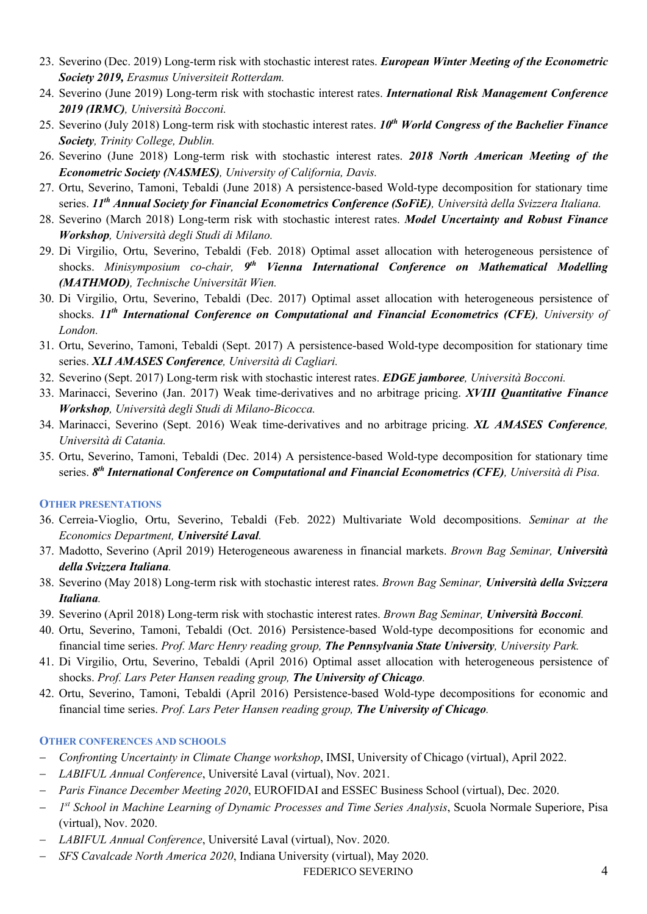- 23. Severino (Dec. 2019) Long-term risk with stochastic interest rates. *European Winter Meeting of the Econometric Society 2019, Erasmus Universiteit Rotterdam.*
- 24. Severino (June 2019) Long-term risk with stochastic interest rates. *International Risk Management Conference 2019 (IRMC), Università Bocconi.*
- 25. Severino (July 2018) Long-term risk with stochastic interest rates. *10th World Congress of the Bachelier Finance Society, Trinity College, Dublin.*
- 26. Severino (June 2018) Long-term risk with stochastic interest rates. *2018 North American Meeting of the Econometric Society (NASMES), University of California, Davis.*
- 27. Ortu, Severino, Tamoni, Tebaldi (June 2018) A persistence-based Wold-type decomposition for stationary time series. *11th Annual Society for Financial Econometrics Conference (SoFiE), Università della Svizzera Italiana.*
- 28. Severino (March 2018) Long-term risk with stochastic interest rates. *Model Uncertainty and Robust Finance Workshop, Università degli Studi di Milano.*
- 29. Di Virgilio, Ortu, Severino, Tebaldi (Feb. 2018) Optimal asset allocation with heterogeneous persistence of shocks. *Minisymposium co-chair, 9th Vienna International Conference on Mathematical Modelling (MATHMOD), Technische Universität Wien.*
- 30. Di Virgilio, Ortu, Severino, Tebaldi (Dec. 2017) Optimal asset allocation with heterogeneous persistence of shocks. *11th International Conference on Computational and Financial Econometrics (CFE), University of London.*
- 31. Ortu, Severino, Tamoni, Tebaldi (Sept. 2017) A persistence-based Wold-type decomposition for stationary time series. *XLI AMASES Conference, Università di Cagliari.*
- 32. Severino (Sept. 2017) Long-term risk with stochastic interest rates. *EDGE jamboree, Università Bocconi.*
- 33. Marinacci, Severino (Jan. 2017) Weak time-derivatives and no arbitrage pricing. *XVIII Quantitative Finance Workshop, Università degli Studi di Milano-Bicocca.*
- 34. Marinacci, Severino (Sept. 2016) Weak time-derivatives and no arbitrage pricing. *XL AMASES Conference, Università di Catania.*
- 35. Ortu, Severino, Tamoni, Tebaldi (Dec. 2014) A persistence-based Wold-type decomposition for stationary time series. *8th International Conference on Computational and Financial Econometrics (CFE), Università di Pisa.*

## **OTHER PRESENTATIONS**

- 36. Cerreia-Vioglio, Ortu, Severino, Tebaldi (Feb. 2022) Multivariate Wold decompositions. *Seminar at the Economics Department, Université Laval.*
- 37. Madotto, Severino (April 2019) Heterogeneous awareness in financial markets. *Brown Bag Seminar, Università della Svizzera Italiana.*
- 38. Severino (May 2018) Long-term risk with stochastic interest rates. *Brown Bag Seminar, Università della Svizzera Italiana.*
- 39. Severino (April 2018) Long-term risk with stochastic interest rates. *Brown Bag Seminar, Università Bocconi.*
- 40. Ortu, Severino, Tamoni, Tebaldi (Oct. 2016) Persistence-based Wold-type decompositions for economic and financial time series. *Prof. Marc Henry reading group, The Pennsylvania State University, University Park.*
- 41. Di Virgilio, Ortu, Severino, Tebaldi (April 2016) Optimal asset allocation with heterogeneous persistence of shocks. *Prof. Lars Peter Hansen reading group, The University of Chicago.*
- 42. Ortu, Severino, Tamoni, Tebaldi (April 2016) Persistence-based Wold-type decompositions for economic and financial time series. *Prof. Lars Peter Hansen reading group, The University of Chicago.*

## **OTHER CONFERENCES AND SCHOOLS**

- *Confronting Uncertainty in Climate Change workshop*, IMSI, University of Chicago (virtual), April 2022.
- *LABIFUL Annual Conference*, Université Laval (virtual), Nov. 2021.
- *Paris Finance December Meeting 2020*, EUROFIDAI and ESSEC Business School (virtual), Dec. 2020.
- *1st School in Machine Learning of Dynamic Processes and Time Series Analysis*, Scuola Normale Superiore, Pisa (virtual), Nov. 2020.
- *LABIFUL Annual Conference*, Université Laval (virtual), Nov. 2020.
- *SFS Cavalcade North America 2020*, Indiana University (virtual), May 2020.

# FEDERICO SEVERINO 4